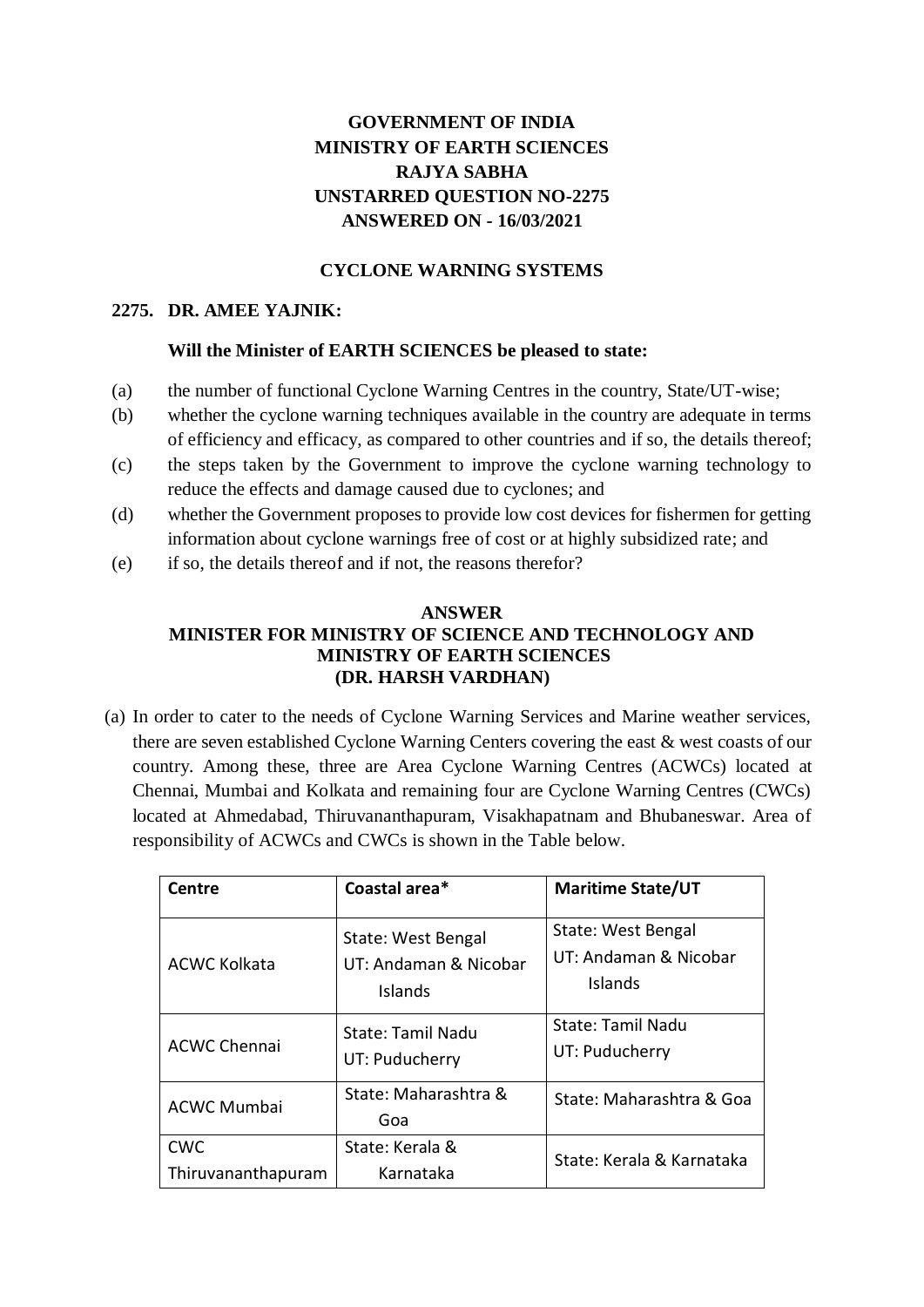# **GOVERNMENT OF INDIA MINISTRY OF EARTH SCIENCES RAJYA SABHA UNSTARRED QUESTION NO-2275 ANSWERED ON - 16/03/2021**

## **CYCLONE WARNING SYSTEMS**

#### **2275. DR. AMEE YAJNIK:**

#### **Will the Minister of EARTH SCIENCES be pleased to state:**

- (a) the number of functional Cyclone Warning Centres in the country, State/UT-wise;
- (b) whether the cyclone warning techniques available in the country are adequate in terms of efficiency and efficacy, as compared to other countries and if so, the details thereof;
- (c) the steps taken by the Government to improve the cyclone warning technology to reduce the effects and damage caused due to cyclones; and
- (d) whether the Government proposes to provide low cost devices for fishermen for getting information about cyclone warnings free of cost or at highly subsidized rate; and
- (e) if so, the details thereof and if not, the reasons therefor?

### **ANSWER MINISTER FOR MINISTRY OF SCIENCE AND TECHNOLOGY AND MINISTRY OF EARTH SCIENCES (DR. HARSH VARDHAN)**

(a) In order to cater to the needs of Cyclone Warning Services and Marine weather services, there are seven established Cyclone Warning Centers covering the east & west coasts of our country. Among these, three are Area Cyclone Warning Centres (ACWCs) located at Chennai, Mumbai and Kolkata and remaining four are Cyclone Warning Centres (CWCs) located at Ahmedabad, Thiruvananthapuram, Visakhapatnam and Bhubaneswar. Area of responsibility of ACWCs and CWCs is shown in the Table below.

| Centre                           | Coastal area*                                                 | <b>Maritime State/UT</b>                               |
|----------------------------------|---------------------------------------------------------------|--------------------------------------------------------|
| <b>ACWC Kolkata</b>              | State: West Bengal<br>UT: Andaman & Nicobar<br><b>Islands</b> | State: West Bengal<br>UT: Andaman & Nicobar<br>Islands |
| <b>ACWC Chennai</b>              | <b>State: Tamil Nadu</b><br>UT: Puducherry                    | State: Tamil Nadu<br>UT: Puducherry                    |
| <b>ACWC Mumbai</b>               | State: Maharashtra &<br>Goa                                   | State: Maharashtra & Goa                               |
| <b>CWC</b><br>Thiruvananthapuram | State: Kerala &<br>Karnataka                                  | State: Kerala & Karnataka                              |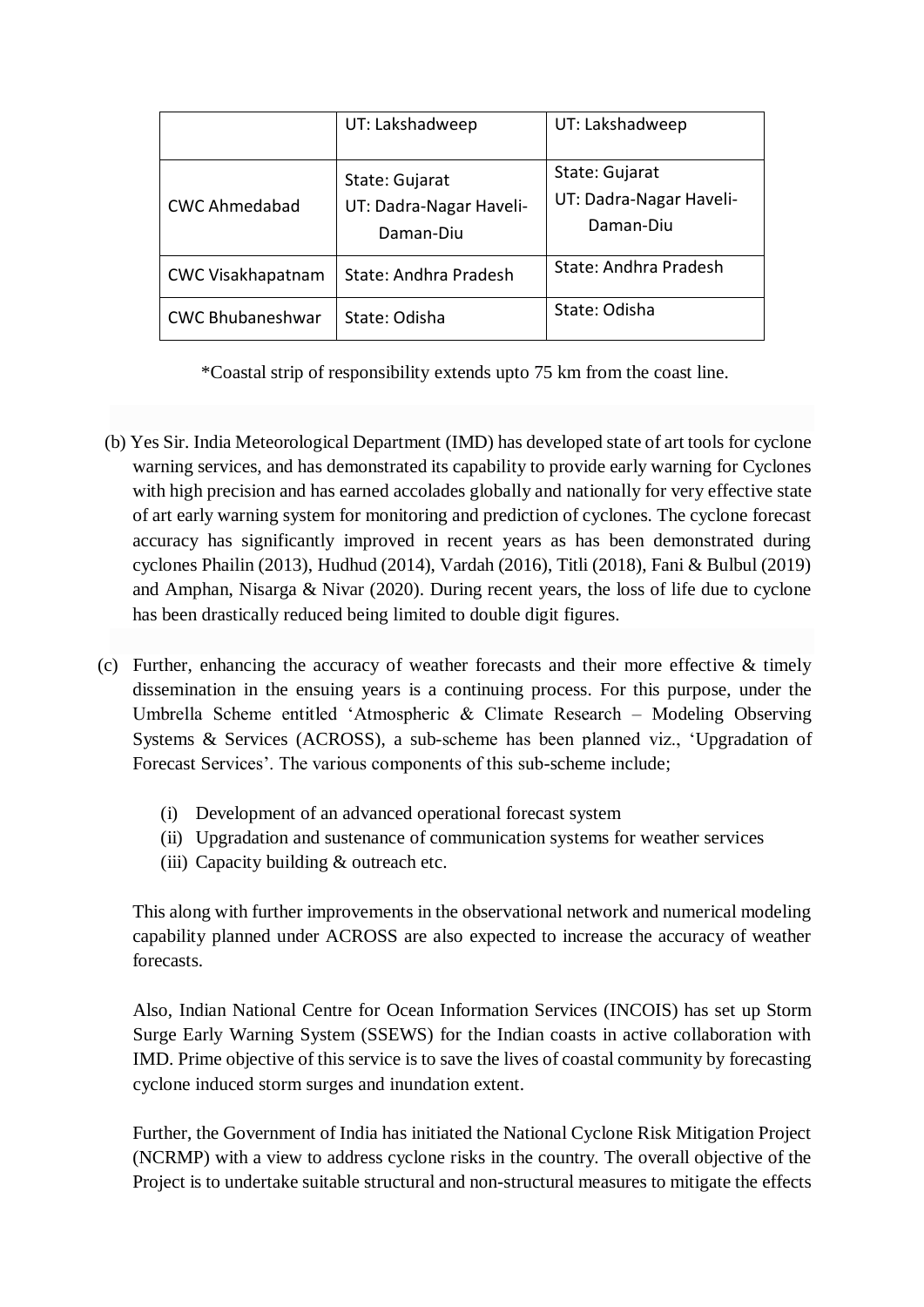|                          | UT: Lakshadweep                                        | UT: Lakshadweep                                        |
|--------------------------|--------------------------------------------------------|--------------------------------------------------------|
| <b>CWC Ahmedabad</b>     | State: Gujarat<br>UT: Dadra-Nagar Haveli-<br>Daman-Diu | State: Gujarat<br>UT: Dadra-Nagar Haveli-<br>Daman-Diu |
| <b>CWC Visakhapatnam</b> | State: Andhra Pradesh                                  | State: Andhra Pradesh                                  |
| <b>CWC Bhubaneshwar</b>  | State: Odisha                                          | State: Odisha                                          |

\*Coastal strip of responsibility extends upto 75 km from the coast line.

- (b) Yes Sir. India Meteorological Department (IMD) has developed state of art tools for cyclone warning services, and has demonstrated its capability to provide early warning for Cyclones with high precision and has earned accolades globally and nationally for very effective state of art early warning system for monitoring and prediction of cyclones. The cyclone forecast accuracy has significantly improved in recent years as has been demonstrated during cyclones Phailin (2013), Hudhud (2014), Vardah (2016), Titli (2018), Fani & Bulbul (2019) and Amphan, Nisarga & Nivar (2020). During recent years, the loss of life due to cyclone has been drastically reduced being limited to double digit figures.
- (c) Further, enhancing the accuracy of weather forecasts and their more effective & timely dissemination in the ensuing years is a continuing process. For this purpose, under the Umbrella Scheme entitled 'Atmospheric & Climate Research – Modeling Observing Systems & Services (ACROSS), a sub-scheme has been planned viz., 'Upgradation of Forecast Services'. The various components of this sub-scheme include;
	- (i) Development of an advanced operational forecast system
	- (ii) Upgradation and sustenance of communication systems for weather services
	- (iii) Capacity building & outreach etc.

This along with further improvements in the observational network and numerical modeling capability planned under ACROSS are also expected to increase the accuracy of weather forecasts.

Also, Indian National Centre for Ocean Information Services (INCOIS) has set up Storm Surge Early Warning System (SSEWS) for the Indian coasts in active collaboration with IMD. Prime objective of this service is to save the lives of coastal community by forecasting cyclone induced storm surges and inundation extent.

Further, the Government of India has initiated the National Cyclone Risk Mitigation Project (NCRMP) with a view to address cyclone risks in the country. The overall objective of the Project is to undertake suitable structural and non-structural measures to mitigate the effects